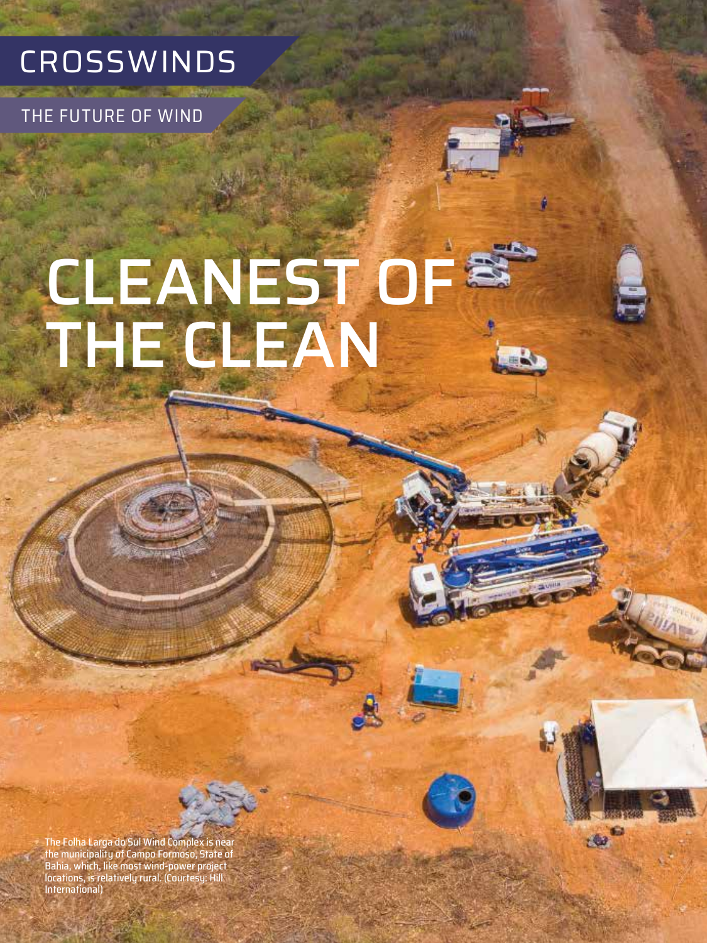

THE FUTURE OF WIND

# CLEANEST OF THE CLEAN

G  $40$ 

The Folha Larga do Sul Wind Complex is near the municipality of Campo Formoso, State of Bahia, which, like most wind-power project locations, is relatively rural. (Courtesy: Hill International)

**36** APRIL 2020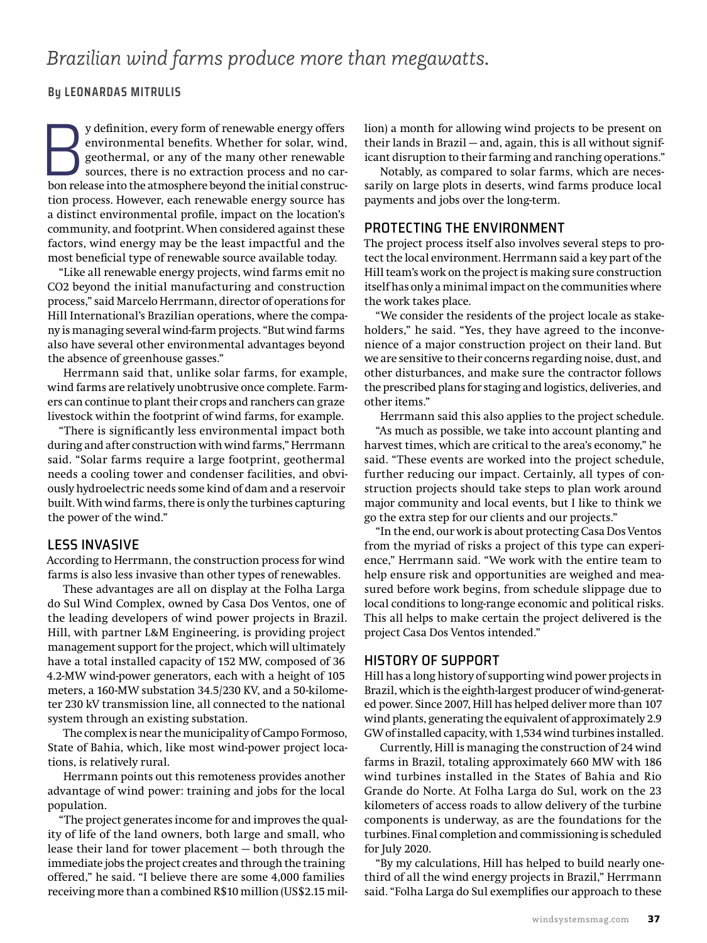## *Brazilian wind farms produce more than megawatts.*

#### **By LEONARDAS MITRULIS**

y definition, every form of renewable energy offers<br>
environmental benefits. Whether for solar, wind,<br>
geothermal, or any of the many other renewable<br>
sources, there is no extraction process and no car-<br>
bon release into t environmental benefits. Whether for solar, wind, geothermal, or any of the many other renewable sources, there is no extraction process and no cartion process. However, each renewable energy source has a distinct environmental profile, impact on the location's community, and footprint. When considered against these factors, wind energy may be the least impactful and the most beneficial type of renewable source available today.

"Like all renewable energy projects, wind farms emit no CO2 beyond the initial manufacturing and construction process," said Marcelo Herrmann, director of operations for Hill International's Brazilian operations, where the company is managing several wind-farm projects. "But wind farms also have several other environmental advantages beyond the absence of greenhouse gasses."

Herrmann said that, unlike solar farms, for example, wind farms are relatively unobtrusive once complete. Farmers can continue to plant their crops and ranchers can graze livestock within the footprint of wind farms, for example.

"There is significantly less environmental impact both during and after construction with wind farms," Herrmann said. "Solar farms require a large footprint, geothermal needs a cooling tower and condenser facilities, and obviously hydroelectric needs some kind of dam and a reservoir built. With wind farms, there is only the turbines capturing the power of the wind."

#### LESS INVASIVE

According to Herrmann, the construction process for wind farms is also less invasive than other types of renewables.

These advantages are all on display at the Folha Larga do Sul Wind Complex, owned by Casa Dos Ventos, one of the leading developers of wind power projects in Brazil. Hill, with partner L&M Engineering, is providing project management support for the project, which will ultimately have a total installed capacity of 152 MW, composed of 36 4.2-MW wind-power generators, each with a height of 105 meters, a 160-MW substation 34.5/230 KV, and a 50-kilometer 230 kV transmission line, all connected to the national system through an existing substation.

The complex is near the municipality of Campo Formoso, State of Bahia, which, like most wind-power project locations, is relatively rural.

Herrmann points out this remoteness provides another advantage of wind power: training and jobs for the local population.

"The project generates income for and improves the quality of life of the land owners, both large and small, who lease their land for tower placement — both through the immediate jobs the project creates and through the training offered," he said. "I believe there are some 4,000 families receiving more than a combined R\$10 million (US\$2.15 million) a month for allowing wind projects to be present on their lands in Brazil — and, again, this is all without significant disruption to their farming and ranching operations."

Notably, as compared to solar farms, which are necessarily on large plots in deserts, wind farms produce local payments and jobs over the long-term.

#### PROTECTING THE ENVIRONMENT

The project process itself also involves several steps to protect the local environment. Herrmann said a key part of the Hill team's work on the project is making sure construction itself has only a minimal impact on the communities where the work takes place.

"We consider the residents of the project locale as stakeholders," he said. "Yes, they have agreed to the inconvenience of a major construction project on their land. But we are sensitive to their concerns regarding noise, dust, and other disturbances, and make sure the contractor follows the prescribed plans for staging and logistics, deliveries, and other items."

Herrmann said this also applies to the project schedule. "As much as possible, we take into account planting and harvest times, which are critical to the area's economy," he said. "These events are worked into the project schedule, further reducing our impact. Certainly, all types of construction projects should take steps to plan work around major community and local events, but I like to think we go the extra step for our clients and our projects."

"In the end, our work is about protecting Casa Dos Ventos from the myriad of risks a project of this type can experience," Herrmann said. "We work with the entire team to help ensure risk and opportunities are weighed and measured before work begins, from schedule slippage due to local conditions to long-range economic and political risks. This all helps to make certain the project delivered is the project Casa Dos Ventos intended."

### HISTORY OF SUPPORT

Hill has a long history of supporting wind power projects in Brazil, which is the eighth-largest producer of wind-generated power. Since 2007, Hill has helped deliver more than 107 wind plants, generating the equivalent of approximately 2.9 GW of installed capacity, with 1,534 wind turbines installed.

Currently, Hill is managing the construction of 24 wind farms in Brazil, totaling approximately 660 MW with 186 wind turbines installed in the States of Bahia and Rio Grande do Norte. At Folha Larga do Sul, work on the 23 kilometers of access roads to allow delivery of the turbine components is underway, as are the foundations for the turbines. Final completion and commissioning is scheduled for July 2020.

"By my calculations, Hill has helped to build nearly onethird of all the wind energy projects in Brazil," Herrmann said. "Folha Larga do Sul exemplifies our approach to these